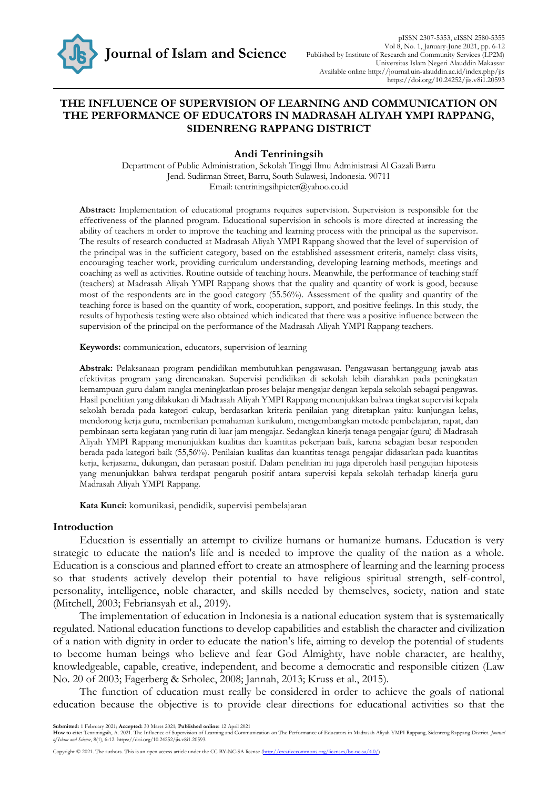

# **THE INFLUENCE OF SUPERVISION OF LEARNING AND COMMUNICATION ON THE PERFORMANCE OF EDUCATORS IN MADRASAH ALIYAH YMPI RAPPANG, SIDENRENG RAPPANG DISTRICT**

### **Andi Tenriningsih**

Department of Public Administration, Sekolah Tinggi Ilmu Administrasi Al Gazali Barru Jend. Sudirman Street, Barru, South Sulawesi, Indonesia. 90711 Email: tentriningsihpieter@yahoo.co.id

**Abstract:** Implementation of educational programs requires supervision. Supervision is responsible for the effectiveness of the planned program. Educational supervision in schools is more directed at increasing the ability of teachers in order to improve the teaching and learning process with the principal as the supervisor. The results of research conducted at Madrasah Aliyah YMPI Rappang showed that the level of supervision of the principal was in the sufficient category, based on the established assessment criteria, namely: class visits, encouraging teacher work, providing curriculum understanding, developing learning methods, meetings and coaching as well as activities. Routine outside of teaching hours. Meanwhile, the performance of teaching staff (teachers) at Madrasah Aliyah YMPI Rappang shows that the quality and quantity of work is good, because most of the respondents are in the good category (55.56%). Assessment of the quality and quantity of the teaching force is based on the quantity of work, cooperation, support, and positive feelings. In this study, the results of hypothesis testing were also obtained which indicated that there was a positive influence between the supervision of the principal on the performance of the Madrasah Aliyah YMPI Rappang teachers.

**Keywords:** communication, educators, supervision of learning

**Abstrak:** Pelaksanaan program pendidikan membutuhkan pengawasan. Pengawasan bertanggung jawab atas efektivitas program yang direncanakan. Supervisi pendidikan di sekolah lebih diarahkan pada peningkatan kemampuan guru dalam rangka meningkatkan proses belajar mengajar dengan kepala sekolah sebagai pengawas. Hasil penelitian yang dilakukan di Madrasah Aliyah YMPI Rappang menunjukkan bahwa tingkat supervisi kepala sekolah berada pada kategori cukup, berdasarkan kriteria penilaian yang ditetapkan yaitu: kunjungan kelas, mendorong kerja guru, memberikan pemahaman kurikulum, mengembangkan metode pembelajaran, rapat, dan pembinaan serta kegiatan yang rutin di luar jam mengajar. Sedangkan kinerja tenaga pengajar (guru) di Madrasah Aliyah YMPI Rappang menunjukkan kualitas dan kuantitas pekerjaan baik, karena sebagian besar responden berada pada kategori baik (55,56%). Penilaian kualitas dan kuantitas tenaga pengajar didasarkan pada kuantitas kerja, kerjasama, dukungan, dan perasaan positif. Dalam penelitian ini juga diperoleh hasil pengujian hipotesis yang menunjukkan bahwa terdapat pengaruh positif antara supervisi kepala sekolah terhadap kinerja guru Madrasah Aliyah YMPI Rappang.

**Kata Kunci:** komunikasi, pendidik, supervisi pembelajaran

#### **Introduction**

Education is essentially an attempt to civilize humans or humanize humans. Education is very strategic to educate the nation's life and is needed to improve the quality of the nation as a whole. Education is a conscious and planned effort to create an atmosphere of learning and the learning process so that students actively develop their potential to have religious spiritual strength, self-control, personality, intelligence, noble character, and skills needed by themselves, society, nation and state (Mitchell, 2003; Febriansyah et al., 2019).

The implementation of education in Indonesia is a national education system that is systematically regulated. National education functions to develop capabilities and establish the character and civilization of a nation with dignity in order to educate the nation's life, aiming to develop the potential of students to become human beings who believe and fear God Almighty, have noble character, are healthy, knowledgeable, capable, creative, independent, and become a democratic and responsible citizen (Law No. 20 of 2003; Fagerberg & Srholec, 2008; Jannah, 2013; Kruss et al., 2015).

The function of education must really be considered in order to achieve the goals of national education because the objective is to provide clear directions for educational activities so that the

**Submitted:** 1 February 2021; **Accepted:** 30 Maret 2021; **Published online:** 12 April 2021

How to cite: Tenriningsih, A. 2021. The Influence of Supervision of Learning and Communication on The Performance of Educators in Madrasah Aliyah YMPI Rappang, Sidenreng Rappang District. Journal

Copyright © 2021. The authors. This is an open access article under the CC BY-NC-SA license (http://creativecommons.org/licenses/by-nc-sa/4.0/)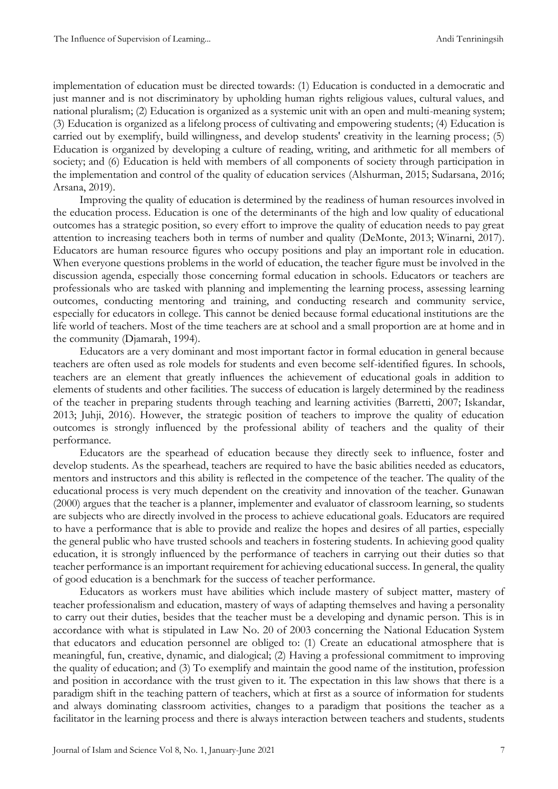implementation of education must be directed towards: (1) Education is conducted in a democratic and just manner and is not discriminatory by upholding human rights religious values, cultural values, and national pluralism; (2) Education is organized as a systemic unit with an open and multi-meaning system; (3) Education is organized as a lifelong process of cultivating and empowering students; (4) Education is carried out by exemplify, build willingness, and develop students' creativity in the learning process; (5) Education is organized by developing a culture of reading, writing, and arithmetic for all members of society; and (6) Education is held with members of all components of society through participation in the implementation and control of the quality of education services (Alshurman, 2015; Sudarsana, 2016; Arsana, 2019).

Improving the quality of education is determined by the readiness of human resources involved in the education process. Education is one of the determinants of the high and low quality of educational outcomes has a strategic position, so every effort to improve the quality of education needs to pay great attention to increasing teachers both in terms of number and quality (DeMonte, 2013; Winarni, 2017). Educators are human resource figures who occupy positions and play an important role in education. When everyone questions problems in the world of education, the teacher figure must be involved in the discussion agenda, especially those concerning formal education in schools. Educators or teachers are professionals who are tasked with planning and implementing the learning process, assessing learning outcomes, conducting mentoring and training, and conducting research and community service, especially for educators in college. This cannot be denied because formal educational institutions are the life world of teachers. Most of the time teachers are at school and a small proportion are at home and in the community (Djamarah, 1994).

Educators are a very dominant and most important factor in formal education in general because teachers are often used as role models for students and even become self-identified figures. In schools, teachers are an element that greatly influences the achievement of educational goals in addition to elements of students and other facilities. The success of education is largely determined by the readiness of the teacher in preparing students through teaching and learning activities (Barretti, 2007; Iskandar, 2013; Juhji, 2016). However, the strategic position of teachers to improve the quality of education outcomes is strongly influenced by the professional ability of teachers and the quality of their performance.

Educators are the spearhead of education because they directly seek to influence, foster and develop students. As the spearhead, teachers are required to have the basic abilities needed as educators, mentors and instructors and this ability is reflected in the competence of the teacher. The quality of the educational process is very much dependent on the creativity and innovation of the teacher. Gunawan (2000) argues that the teacher is a planner, implementer and evaluator of classroom learning, so students are subjects who are directly involved in the process to achieve educational goals. Educators are required to have a performance that is able to provide and realize the hopes and desires of all parties, especially the general public who have trusted schools and teachers in fostering students. In achieving good quality education, it is strongly influenced by the performance of teachers in carrying out their duties so that teacher performance is an important requirement for achieving educational success. In general, the quality of good education is a benchmark for the success of teacher performance.

Educators as workers must have abilities which include mastery of subject matter, mastery of teacher professionalism and education, mastery of ways of adapting themselves and having a personality to carry out their duties, besides that the teacher must be a developing and dynamic person. This is in accordance with what is stipulated in Law No. 20 of 2003 concerning the National Education System that educators and education personnel are obliged to: (1) Create an educational atmosphere that is meaningful, fun, creative, dynamic, and dialogical; (2) Having a professional commitment to improving the quality of education; and (3) To exemplify and maintain the good name of the institution, profession and position in accordance with the trust given to it. The expectation in this law shows that there is a paradigm shift in the teaching pattern of teachers, which at first as a source of information for students and always dominating classroom activities, changes to a paradigm that positions the teacher as a facilitator in the learning process and there is always interaction between teachers and students, students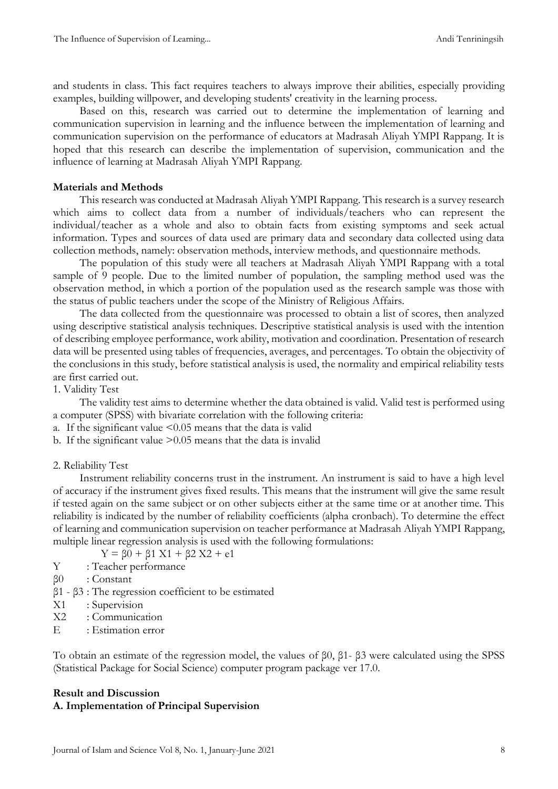and students in class. This fact requires teachers to always improve their abilities, especially providing examples, building willpower, and developing students' creativity in the learning process.

Based on this, research was carried out to determine the implementation of learning and communication supervision in learning and the influence between the implementation of learning and communication supervision on the performance of educators at Madrasah Aliyah YMPI Rappang. It is hoped that this research can describe the implementation of supervision, communication and the influence of learning at Madrasah Aliyah YMPI Rappang.

#### **Materials and Methods**

This research was conducted at Madrasah Aliyah YMPI Rappang. This research is a survey research which aims to collect data from a number of individuals/teachers who can represent the individual/teacher as a whole and also to obtain facts from existing symptoms and seek actual information. Types and sources of data used are primary data and secondary data collected using data collection methods, namely: observation methods, interview methods, and questionnaire methods.

The population of this study were all teachers at Madrasah Aliyah YMPI Rappang with a total sample of 9 people. Due to the limited number of population, the sampling method used was the observation method, in which a portion of the population used as the research sample was those with the status of public teachers under the scope of the Ministry of Religious Affairs.

The data collected from the questionnaire was processed to obtain a list of scores, then analyzed using descriptive statistical analysis techniques. Descriptive statistical analysis is used with the intention of describing employee performance, work ability, motivation and coordination. Presentation of research data will be presented using tables of frequencies, averages, and percentages. To obtain the objectivity of the conclusions in this study, before statistical analysis is used, the normality and empirical reliability tests are first carried out.

1. Validity Test

The validity test aims to determine whether the data obtained is valid. Valid test is performed using a computer (SPSS) with bivariate correlation with the following criteria:

a. If the significant value  $\leq 0.05$  means that the data is valid

b. If the significant value >0.05 means that the data is invalid

### 2. Reliability Test

Instrument reliability concerns trust in the instrument. An instrument is said to have a high level of accuracy if the instrument gives fixed results. This means that the instrument will give the same result if tested again on the same subject or on other subjects either at the same time or at another time. This reliability is indicated by the number of reliability coefficients (alpha cronbach). To determine the effect of learning and communication supervision on teacher performance at Madrasah Aliyah YMPI Rappang, multiple linear regression analysis is used with the following formulations:

 $Y = \beta 0 + \beta 1 X1 + \beta 2 X2 + e1$ 

- Y : Teacher performance
- β0 : Constant
- β1 β3 : The regression coefficient to be estimated
- X1 : Supervision
- X2 : Communication
- E : Estimation error

To obtain an estimate of the regression model, the values of β0, β1- β3 were calculated using the SPSS (Statistical Package for Social Science) computer program package ver 17.0.

# **Result and Discussion A. Implementation of Principal Supervision**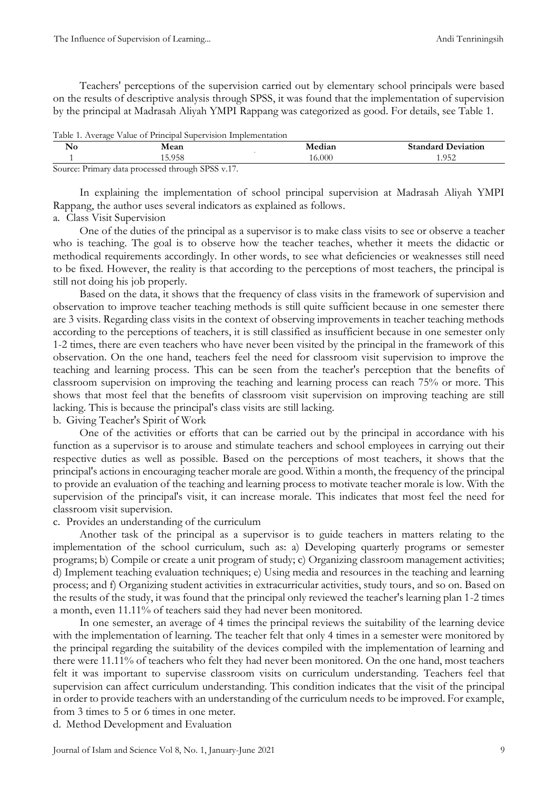Teachers' perceptions of the supervision carried out by elementary school principals were based on the results of descriptive analysis through SPSS, it was found that the implementation of supervision by the principal at Madrasah Aliyah YMPI Rappang was categorized as good. For details, see Table 1.

| Table 1. Average Value of Principal Supervision Implementation |                                                                                                                                                                                                                                                                                                                                           |        |                           |
|----------------------------------------------------------------|-------------------------------------------------------------------------------------------------------------------------------------------------------------------------------------------------------------------------------------------------------------------------------------------------------------------------------------------|--------|---------------------------|
| $\mathbf{N}$ o                                                 | Mean                                                                                                                                                                                                                                                                                                                                      | Median | <b>Standard Deviation</b> |
|                                                                | 15.958                                                                                                                                                                                                                                                                                                                                    | 16.000 | 1.952                     |
|                                                                | $C_{\text{2}}$ $D_{\text{2}}$ $D_{\text{2}}$ $D_{\text{2}}$ $D_{\text{2}}$ $D_{\text{2}}$ $D_{\text{2}}$ $D_{\text{2}}$ $D_{\text{2}}$ $D_{\text{2}}$ $D_{\text{2}}$ $D_{\text{2}}$ $D_{\text{2}}$ $D_{\text{2}}$ $D_{\text{2}}$ $D_{\text{2}}$ $D_{\text{2}}$ $D_{\text{2}}$ $D_{\text{2}}$ $D_{\text{2}}$ $D_{\text{2}}$ $D_{\text{2}}$ |        |                           |

Source: Primary data processed through SPSS v.17.

In explaining the implementation of school principal supervision at Madrasah Aliyah YMPI Rappang, the author uses several indicators as explained as follows.

## a. Class Visit Supervision

One of the duties of the principal as a supervisor is to make class visits to see or observe a teacher who is teaching. The goal is to observe how the teacher teaches, whether it meets the didactic or methodical requirements accordingly. In other words, to see what deficiencies or weaknesses still need to be fixed. However, the reality is that according to the perceptions of most teachers, the principal is still not doing his job properly.

Based on the data, it shows that the frequency of class visits in the framework of supervision and observation to improve teacher teaching methods is still quite sufficient because in one semester there are 3 visits. Regarding class visits in the context of observing improvements in teacher teaching methods according to the perceptions of teachers, it is still classified as insufficient because in one semester only 1-2 times, there are even teachers who have never been visited by the principal in the framework of this observation. On the one hand, teachers feel the need for classroom visit supervision to improve the teaching and learning process. This can be seen from the teacher's perception that the benefits of classroom supervision on improving the teaching and learning process can reach 75% or more. This shows that most feel that the benefits of classroom visit supervision on improving teaching are still lacking. This is because the principal's class visits are still lacking.

### b. Giving Teacher's Spirit of Work

One of the activities or efforts that can be carried out by the principal in accordance with his function as a supervisor is to arouse and stimulate teachers and school employees in carrying out their respective duties as well as possible. Based on the perceptions of most teachers, it shows that the principal's actions in encouraging teacher morale are good. Within a month, the frequency of the principal to provide an evaluation of the teaching and learning process to motivate teacher morale is low. With the supervision of the principal's visit, it can increase morale. This indicates that most feel the need for classroom visit supervision.

### c. Provides an understanding of the curriculum

Another task of the principal as a supervisor is to guide teachers in matters relating to the implementation of the school curriculum, such as: a) Developing quarterly programs or semester programs; b) Compile or create a unit program of study; c) Organizing classroom management activities; d) Implement teaching evaluation techniques; e) Using media and resources in the teaching and learning process; and f) Organizing student activities in extracurricular activities, study tours, and so on. Based on the results of the study, it was found that the principal only reviewed the teacher's learning plan 1-2 times a month, even 11.11% of teachers said they had never been monitored.

In one semester, an average of 4 times the principal reviews the suitability of the learning device with the implementation of learning. The teacher felt that only 4 times in a semester were monitored by the principal regarding the suitability of the devices compiled with the implementation of learning and there were 11.11% of teachers who felt they had never been monitored. On the one hand, most teachers felt it was important to supervise classroom visits on curriculum understanding. Teachers feel that supervision can affect curriculum understanding. This condition indicates that the visit of the principal in order to provide teachers with an understanding of the curriculum needs to be improved. For example, from 3 times to 5 or 6 times in one meter.

d. Method Development and Evaluation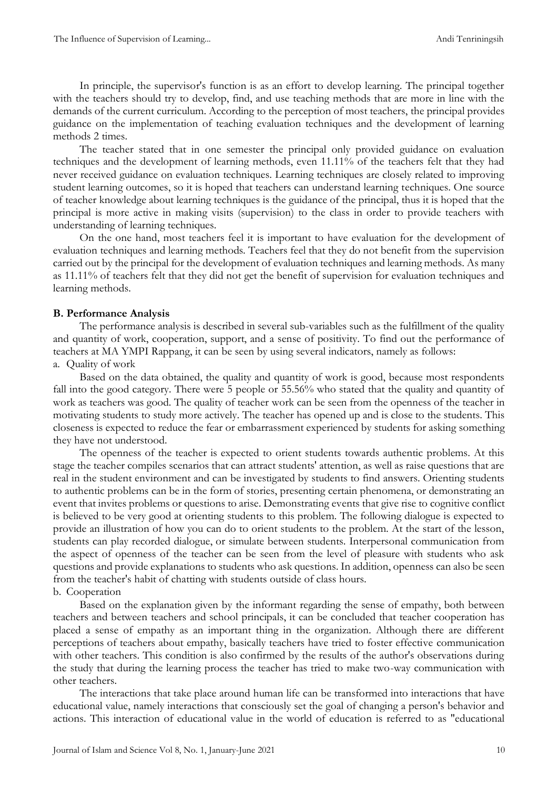In principle, the supervisor's function is as an effort to develop learning. The principal together with the teachers should try to develop, find, and use teaching methods that are more in line with the demands of the current curriculum. According to the perception of most teachers, the principal provides guidance on the implementation of teaching evaluation techniques and the development of learning methods 2 times.

The teacher stated that in one semester the principal only provided guidance on evaluation techniques and the development of learning methods, even 11.11% of the teachers felt that they had never received guidance on evaluation techniques. Learning techniques are closely related to improving student learning outcomes, so it is hoped that teachers can understand learning techniques. One source of teacher knowledge about learning techniques is the guidance of the principal, thus it is hoped that the principal is more active in making visits (supervision) to the class in order to provide teachers with understanding of learning techniques.

On the one hand, most teachers feel it is important to have evaluation for the development of evaluation techniques and learning methods. Teachers feel that they do not benefit from the supervision carried out by the principal for the development of evaluation techniques and learning methods. As many as 11.11% of teachers felt that they did not get the benefit of supervision for evaluation techniques and learning methods.

## **B. Performance Analysis**

The performance analysis is described in several sub-variables such as the fulfillment of the quality and quantity of work, cooperation, support, and a sense of positivity. To find out the performance of teachers at MA YMPI Rappang, it can be seen by using several indicators, namely as follows: a. Quality of work

Based on the data obtained, the quality and quantity of work is good, because most respondents fall into the good category. There were 5 people or 55.56% who stated that the quality and quantity of work as teachers was good. The quality of teacher work can be seen from the openness of the teacher in motivating students to study more actively. The teacher has opened up and is close to the students. This closeness is expected to reduce the fear or embarrassment experienced by students for asking something they have not understood.

The openness of the teacher is expected to orient students towards authentic problems. At this stage the teacher compiles scenarios that can attract students' attention, as well as raise questions that are real in the student environment and can be investigated by students to find answers. Orienting students to authentic problems can be in the form of stories, presenting certain phenomena, or demonstrating an event that invites problems or questions to arise. Demonstrating events that give rise to cognitive conflict is believed to be very good at orienting students to this problem. The following dialogue is expected to provide an illustration of how you can do to orient students to the problem. At the start of the lesson, students can play recorded dialogue, or simulate between students. Interpersonal communication from the aspect of openness of the teacher can be seen from the level of pleasure with students who ask questions and provide explanations to students who ask questions. In addition, openness can also be seen from the teacher's habit of chatting with students outside of class hours. b. Cooperation

Based on the explanation given by the informant regarding the sense of empathy, both between teachers and between teachers and school principals, it can be concluded that teacher cooperation has placed a sense of empathy as an important thing in the organization. Although there are different perceptions of teachers about empathy, basically teachers have tried to foster effective communication with other teachers. This condition is also confirmed by the results of the author's observations during the study that during the learning process the teacher has tried to make two-way communication with other teachers.

The interactions that take place around human life can be transformed into interactions that have educational value, namely interactions that consciously set the goal of changing a person's behavior and actions. This interaction of educational value in the world of education is referred to as "educational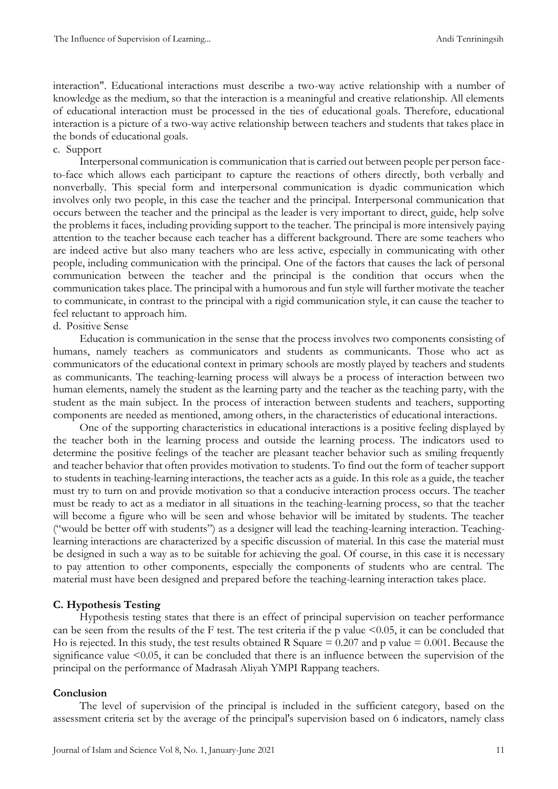interaction". Educational interactions must describe a two-way active relationship with a number of knowledge as the medium, so that the interaction is a meaningful and creative relationship. All elements of educational interaction must be processed in the ties of educational goals. Therefore, educational interaction is a picture of a two-way active relationship between teachers and students that takes place in the bonds of educational goals.

### c. Support

Interpersonal communication is communication that is carried out between people per person faceto-face which allows each participant to capture the reactions of others directly, both verbally and nonverbally. This special form and interpersonal communication is dyadic communication which involves only two people, in this case the teacher and the principal. Interpersonal communication that occurs between the teacher and the principal as the leader is very important to direct, guide, help solve the problems it faces, including providing support to the teacher. The principal is more intensively paying attention to the teacher because each teacher has a different background. There are some teachers who are indeed active but also many teachers who are less active, especially in communicating with other people, including communication with the principal. One of the factors that causes the lack of personal communication between the teacher and the principal is the condition that occurs when the communication takes place. The principal with a humorous and fun style will further motivate the teacher to communicate, in contrast to the principal with a rigid communication style, it can cause the teacher to feel reluctant to approach him.

## d. Positive Sense

Education is communication in the sense that the process involves two components consisting of humans, namely teachers as communicators and students as communicants. Those who act as communicators of the educational context in primary schools are mostly played by teachers and students as communicants. The teaching-learning process will always be a process of interaction between two human elements, namely the student as the learning party and the teacher as the teaching party, with the student as the main subject. In the process of interaction between students and teachers, supporting components are needed as mentioned, among others, in the characteristics of educational interactions.

One of the supporting characteristics in educational interactions is a positive feeling displayed by the teacher both in the learning process and outside the learning process. The indicators used to determine the positive feelings of the teacher are pleasant teacher behavior such as smiling frequently and teacher behavior that often provides motivation to students. To find out the form of teacher support to students in teaching-learning interactions, the teacher acts as a guide. In this role as a guide, the teacher must try to turn on and provide motivation so that a conducive interaction process occurs. The teacher must be ready to act as a mediator in all situations in the teaching-learning process, so that the teacher will become a figure who will be seen and whose behavior will be imitated by students. The teacher ("would be better off with students") as a designer will lead the teaching-learning interaction. Teachinglearning interactions are characterized by a specific discussion of material. In this case the material must be designed in such a way as to be suitable for achieving the goal. Of course, in this case it is necessary to pay attention to other components, especially the components of students who are central. The material must have been designed and prepared before the teaching-learning interaction takes place.

### **C. Hypothesis Testing**

Hypothesis testing states that there is an effect of principal supervision on teacher performance can be seen from the results of the F test. The test criteria if the p value <0.05, it can be concluded that Ho is rejected. In this study, the test results obtained R Square  $= 0.207$  and p value  $= 0.001$ . Because the significance value  $\leq 0.05$ , it can be concluded that there is an influence between the supervision of the principal on the performance of Madrasah Aliyah YMPI Rappang teachers.

#### **Conclusion**

The level of supervision of the principal is included in the sufficient category, based on the assessment criteria set by the average of the principal's supervision based on 6 indicators, namely class